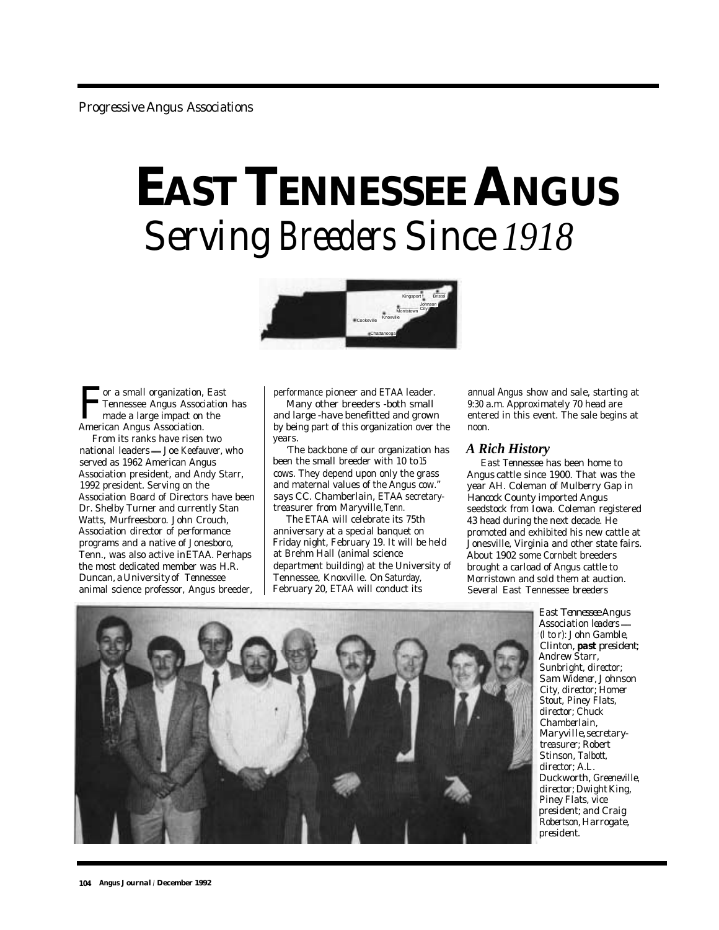## **EAST TENNESSEE ANGUS** *Serving Breeders Since 1918*



**For a small organization, East**<br>Tennessee Angus Association<br>made a large impact on the<br>American Angus Association Tennessee Angus Association has made a large impact on the American Angus Association.

From its ranks have risen two national leaders - Joe Keefauver, who served as 1962 American Angus Association president, and Andy Starr, 1992 president. Serving on the Association Board of Directors have been Dr. Shelby Turner and currently Stan Watts, Murfreesboro. John Crouch, Association director of performance programs and a native of Jonesboro, Tenn., was also active in ETAA. Perhaps the most dedicated member was H.R. Duncan, a University of Tennessee animal science professor, Angus breeder,

performance pioneer and ETAA leader.

Many other breeders -both small and large -have benefitted and grown by being part of this organization over the years.

'The backbone of our organization has been the small breeder with 10 to15 cows. They depend upon only the grass and maternal values of the Angus cow." says CC. Chamberlain, ETAA secretarytreasurer from Maryville, Tenn.

The ETAA will celebrate its 75th anniversary at a special banquet on Friday night, February 19. It will be held at Brehm Hall (animal science department building) at the University of Tennessee, Knoxville. On Saturday, February 20, ETAA will conduct its

annual Angus show and sale, starting at 9:30 a.m. Approximately 70 head are entered in this event. The sale begins at noon.

## *A Rich History*

East Tennessee has been home to Angus cattle since 1900. That was the year AH. Coleman of Mulberry Gap in Hancock County imported Angus seedstock from Iowa. Coleman registered 43 head during the next decade. He promoted and exhibited his new cattle at Jonesville, Virginia and other state fairs. About 1902 some Cornbelt breeders brought a carload of Angus cattle to Morristown and sold them at auction. Several East Tennessee breeders



*East Tennessee Angus Association leaders (l to r): John Gamble, Clinton, past president; Andrew Starr, Sunbright, director; Sam Widener, Johnson City, director; Homer Stout, Piney Flats, director; Chuck Chamberlain, Maryville, secretarytreasurer; Robert Stinson, Talbott, director; A.L. Duckworth, Greeneville, director; Dwight King, Piney Flats, vice president; and Craig Robertson, Harrogate, president.*